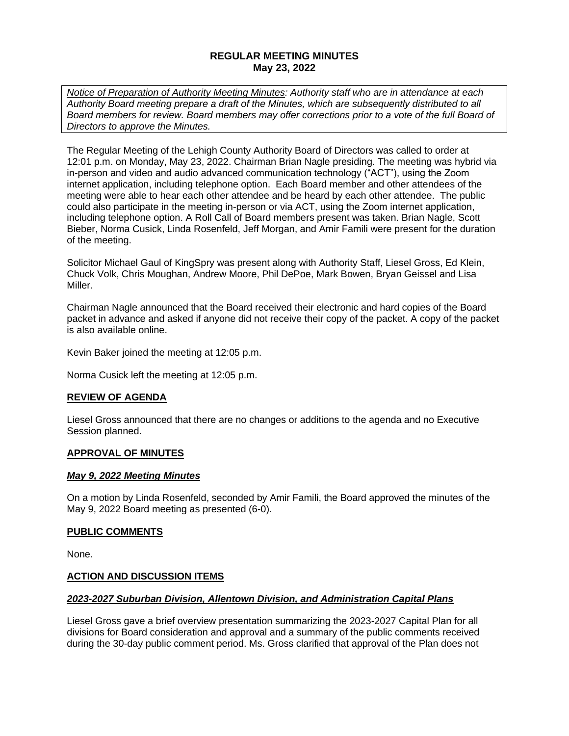## **REGULAR MEETING MINUTES May 23, 2022**

*Notice of Preparation of Authority Meeting Minutes: Authority staff who are in attendance at each Authority Board meeting prepare a draft of the Minutes, which are subsequently distributed to all Board members for review. Board members may offer corrections prior to a vote of the full Board of Directors to approve the Minutes.* 

The Regular Meeting of the Lehigh County Authority Board of Directors was called to order at 12:01 p.m. on Monday, May 23, 2022. Chairman Brian Nagle presiding. The meeting was hybrid via in-person and video and audio advanced communication technology ("ACT"), using the Zoom internet application, including telephone option. Each Board member and other attendees of the meeting were able to hear each other attendee and be heard by each other attendee. The public could also participate in the meeting in-person or via ACT, using the Zoom internet application, including telephone option. A Roll Call of Board members present was taken. Brian Nagle, Scott Bieber, Norma Cusick, Linda Rosenfeld, Jeff Morgan, and Amir Famili were present for the duration of the meeting.

Solicitor Michael Gaul of KingSpry was present along with Authority Staff, Liesel Gross, Ed Klein, Chuck Volk, Chris Moughan, Andrew Moore, Phil DePoe, Mark Bowen, Bryan Geissel and Lisa Miller.

Chairman Nagle announced that the Board received their electronic and hard copies of the Board packet in advance and asked if anyone did not receive their copy of the packet. A copy of the packet is also available online.

Kevin Baker joined the meeting at 12:05 p.m.

Norma Cusick left the meeting at 12:05 p.m.

### **REVIEW OF AGENDA**

Liesel Gross announced that there are no changes or additions to the agenda and no Executive Session planned.

### **APPROVAL OF MINUTES**

### *May 9, 2022 Meeting Minutes*

On a motion by Linda Rosenfeld, seconded by Amir Famili, the Board approved the minutes of the May 9, 2022 Board meeting as presented (6-0).

#### **PUBLIC COMMENTS**

None.

### **ACTION AND DISCUSSION ITEMS**

#### *2023-2027 Suburban Division, Allentown Division, and Administration Capital Plans*

Liesel Gross gave a brief overview presentation summarizing the 2023-2027 Capital Plan for all divisions for Board consideration and approval and a summary of the public comments received during the 30-day public comment period. Ms. Gross clarified that approval of the Plan does not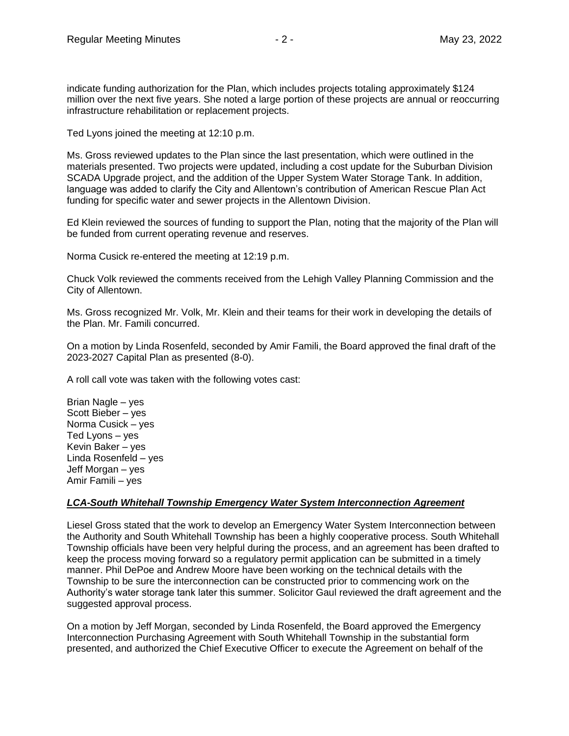indicate funding authorization for the Plan, which includes projects totaling approximately \$124 million over the next five years. She noted a large portion of these projects are annual or reoccurring infrastructure rehabilitation or replacement projects.

Ted Lyons joined the meeting at 12:10 p.m.

Ms. Gross reviewed updates to the Plan since the last presentation, which were outlined in the materials presented. Two projects were updated, including a cost update for the Suburban Division SCADA Upgrade project, and the addition of the Upper System Water Storage Tank. In addition, language was added to clarify the City and Allentown's contribution of American Rescue Plan Act funding for specific water and sewer projects in the Allentown Division.

Ed Klein reviewed the sources of funding to support the Plan, noting that the majority of the Plan will be funded from current operating revenue and reserves.

Norma Cusick re-entered the meeting at 12:19 p.m.

Chuck Volk reviewed the comments received from the Lehigh Valley Planning Commission and the City of Allentown.

Ms. Gross recognized Mr. Volk, Mr. Klein and their teams for their work in developing the details of the Plan. Mr. Famili concurred.

On a motion by Linda Rosenfeld, seconded by Amir Famili, the Board approved the final draft of the 2023-2027 Capital Plan as presented (8-0).

A roll call vote was taken with the following votes cast:

Brian Nagle – yes Scott Bieber – yes Norma Cusick – yes Ted Lyons – yes Kevin Baker – yes Linda Rosenfeld – yes Jeff Morgan – yes Amir Famili – yes

### *LCA-South Whitehall Township Emergency Water System Interconnection Agreement*

Liesel Gross stated that the work to develop an Emergency Water System Interconnection between the Authority and South Whitehall Township has been a highly cooperative process. South Whitehall Township officials have been very helpful during the process, and an agreement has been drafted to keep the process moving forward so a regulatory permit application can be submitted in a timely manner. Phil DePoe and Andrew Moore have been working on the technical details with the Township to be sure the interconnection can be constructed prior to commencing work on the Authority's water storage tank later this summer. Solicitor Gaul reviewed the draft agreement and the suggested approval process.

On a motion by Jeff Morgan, seconded by Linda Rosenfeld, the Board approved the Emergency Interconnection Purchasing Agreement with South Whitehall Township in the substantial form presented, and authorized the Chief Executive Officer to execute the Agreement on behalf of the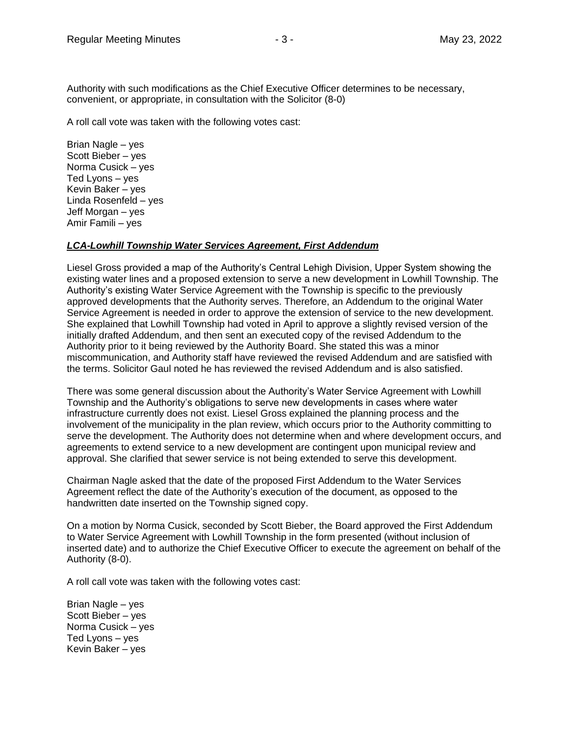Authority with such modifications as the Chief Executive Officer determines to be necessary, convenient, or appropriate, in consultation with the Solicitor (8-0)

A roll call vote was taken with the following votes cast:

Brian Nagle – yes Scott Bieber – yes Norma Cusick – yes Ted Lyons – yes Kevin Baker – yes Linda Rosenfeld – yes Jeff Morgan – yes Amir Famili – yes

#### *LCA-Lowhill Township Water Services Agreement, First Addendum*

Liesel Gross provided a map of the Authority's Central Lehigh Division, Upper System showing the existing water lines and a proposed extension to serve a new development in Lowhill Township. The Authority's existing Water Service Agreement with the Township is specific to the previously approved developments that the Authority serves. Therefore, an Addendum to the original Water Service Agreement is needed in order to approve the extension of service to the new development. She explained that Lowhill Township had voted in April to approve a slightly revised version of the initially drafted Addendum, and then sent an executed copy of the revised Addendum to the Authority prior to it being reviewed by the Authority Board. She stated this was a minor miscommunication, and Authority staff have reviewed the revised Addendum and are satisfied with the terms. Solicitor Gaul noted he has reviewed the revised Addendum and is also satisfied.

There was some general discussion about the Authority's Water Service Agreement with Lowhill Township and the Authority's obligations to serve new developments in cases where water infrastructure currently does not exist. Liesel Gross explained the planning process and the involvement of the municipality in the plan review, which occurs prior to the Authority committing to serve the development. The Authority does not determine when and where development occurs, and agreements to extend service to a new development are contingent upon municipal review and approval. She clarified that sewer service is not being extended to serve this development.

Chairman Nagle asked that the date of the proposed First Addendum to the Water Services Agreement reflect the date of the Authority's execution of the document, as opposed to the handwritten date inserted on the Township signed copy.

On a motion by Norma Cusick, seconded by Scott Bieber, the Board approved the First Addendum to Water Service Agreement with Lowhill Township in the form presented (without inclusion of inserted date) and to authorize the Chief Executive Officer to execute the agreement on behalf of the Authority (8-0).

A roll call vote was taken with the following votes cast:

Brian Nagle – yes Scott Bieber – yes Norma Cusick – yes Ted Lyons – yes Kevin Baker – yes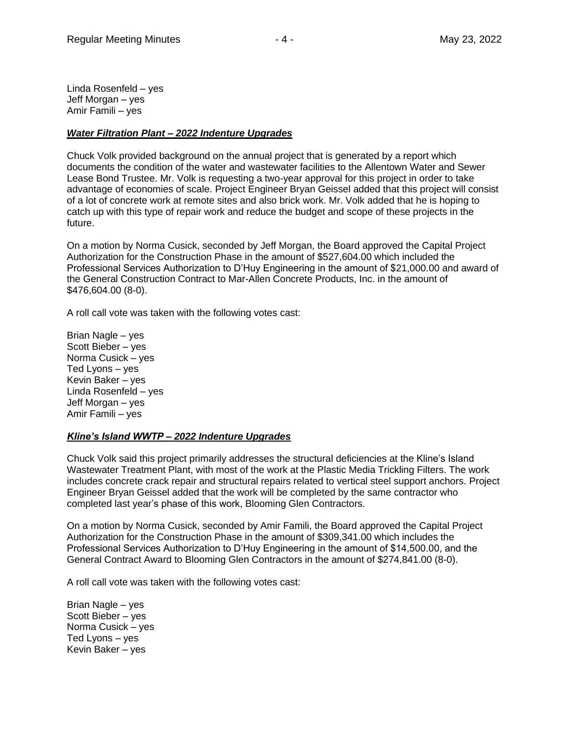Linda Rosenfeld – yes Jeff Morgan – yes Amir Famili – yes

### *Water Filtration Plant – 2022 Indenture Upgrades*

Chuck Volk provided background on the annual project that is generated by a report which documents the condition of the water and wastewater facilities to the Allentown Water and Sewer Lease Bond Trustee. Mr. Volk is requesting a two-year approval for this project in order to take advantage of economies of scale. Project Engineer Bryan Geissel added that this project will consist of a lot of concrete work at remote sites and also brick work. Mr. Volk added that he is hoping to catch up with this type of repair work and reduce the budget and scope of these projects in the future.

On a motion by Norma Cusick, seconded by Jeff Morgan, the Board approved the Capital Project Authorization for the Construction Phase in the amount of \$527,604.00 which included the Professional Services Authorization to D'Huy Engineering in the amount of \$21,000.00 and award of the General Construction Contract to Mar-Allen Concrete Products, Inc. in the amount of \$476,604.00 (8-0).

A roll call vote was taken with the following votes cast:

Brian Nagle – yes Scott Bieber – yes Norma Cusick – yes Ted Lyons – yes Kevin Baker – yes Linda Rosenfeld – yes Jeff Morgan – yes Amir Famili – yes

### *Kline's Island WWTP – 2022 Indenture Upgrades*

Chuck Volk said this project primarily addresses the structural deficiencies at the Kline's Island Wastewater Treatment Plant, with most of the work at the Plastic Media Trickling Filters. The work includes concrete crack repair and structural repairs related to vertical steel support anchors. Project Engineer Bryan Geissel added that the work will be completed by the same contractor who completed last year's phase of this work, Blooming Glen Contractors.

On a motion by Norma Cusick, seconded by Amir Famili, the Board approved the Capital Project Authorization for the Construction Phase in the amount of \$309,341.00 which includes the Professional Services Authorization to D'Huy Engineering in the amount of \$14,500.00, and the General Contract Award to Blooming Glen Contractors in the amount of \$274,841.00 (8-0).

A roll call vote was taken with the following votes cast:

Brian Nagle – yes Scott Bieber – yes Norma Cusick – yes Ted Lyons – yes Kevin Baker – yes